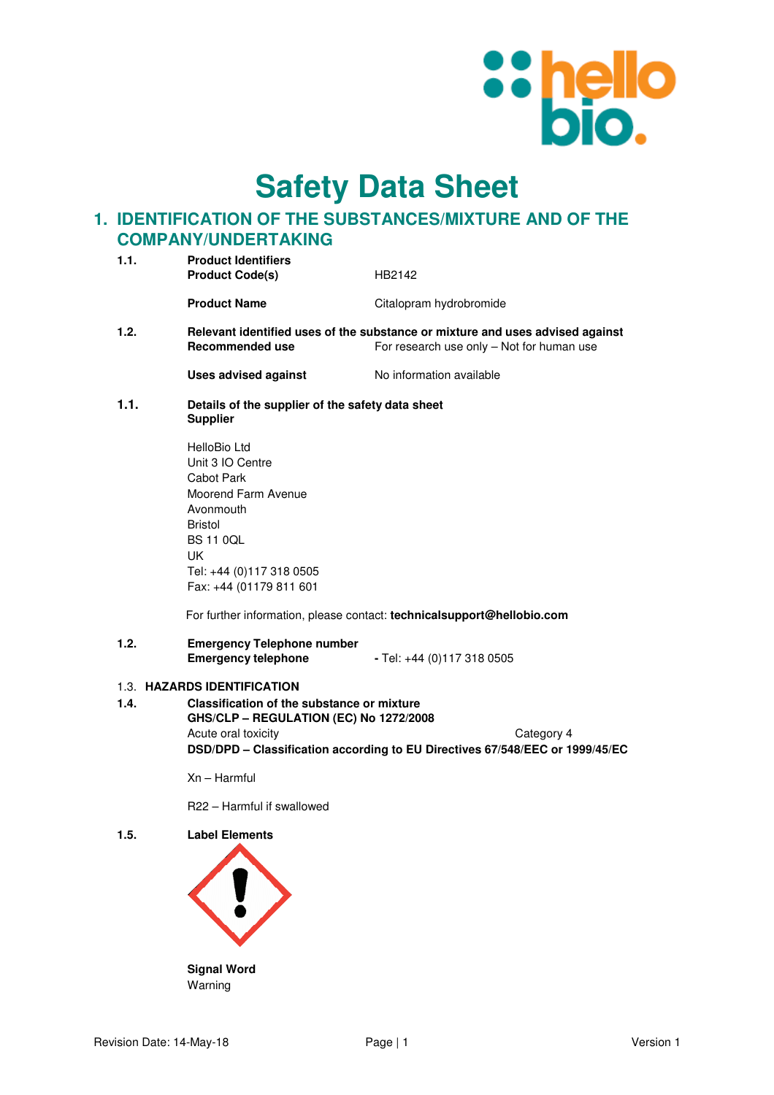

**Safety Data Sheet**

# **1. IDENTIFICATION OF THE SUBSTANCES/MIXTURE AND OF THE COMPANY/UNDERTAKING**

| 1.1. | <b>Product Identifiers</b><br><b>Product Code(s)</b>                | HB2142                                                                                                                     |
|------|---------------------------------------------------------------------|----------------------------------------------------------------------------------------------------------------------------|
|      | <b>Product Name</b>                                                 | Citalopram hydrobromide                                                                                                    |
| 1.2. | Recommended use                                                     | Relevant identified uses of the substance or mixture and uses advised against<br>For research use only – Not for human use |
|      | Uses advised against                                                | No information available                                                                                                   |
| 1.1. | Details of the supplier of the safety data sheet<br><b>Supplier</b> |                                                                                                                            |
|      | HelloBio Ltd<br>Unit 3 IO Centre<br>Cahot Park                      |                                                                                                                            |

Cabot Park Moorend Farm Avenue Avonmouth Bristol BS 11 0QL UK Tel: +44 (0)117 318 0505 Fax: +44 (01179 811 601

For further information, please contact: **technicalsupport@hellobio.com** 

### **1.2. Emergency Telephone number Emergency telephone -** Tel: +44 (0)117 318 0505

## 1.3. **HAZARDS IDENTIFICATION**

**1.4. Classification of the substance or mixture GHS/CLP – REGULATION (EC) No 1272/2008**  Acute oral toxicity **Category 4 DSD/DPD – Classification according to EU Directives 67/548/EEC or 1999/45/EC** 

Xn – Harmful

R22 – Harmful if swallowed

**1.5. Label Elements** 

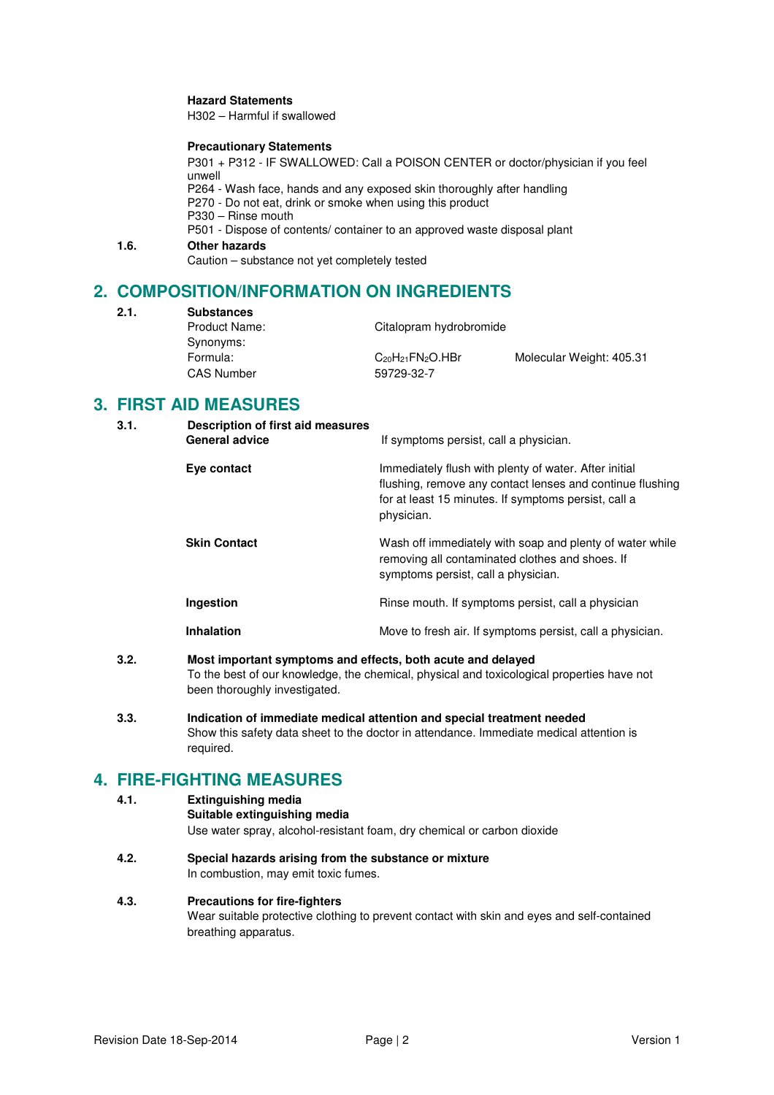### **Hazard Statements**

H302 – Harmful if swallowed

### **Precautionary Statements**

P301 + P312 - IF SWALLOWED: Call a POISON CENTER or doctor/physician if you feel unwell P264 - Wash face, hands and any exposed skin thoroughly after handling P270 - Do not eat, drink or smoke when using this product P330 – Rinse mouth P501 - Dispose of contents/ container to an approved waste disposal plant **1.6. Other hazards**  Caution – substance not yet completely tested

# **2. COMPOSITION/INFORMATION ON INGREDIENTS**

**2.1. Substances** 

| <b>SUDSIQIICES</b> |                           |                          |
|--------------------|---------------------------|--------------------------|
| Product Name:      | Citalopram hydrobromide   |                          |
| Synonyms:          |                           |                          |
| Formula:           | $C_{20}H_{21}FN_{2}O.HBr$ | Molecular Weight: 405.31 |
| <b>CAS Number</b>  | 59729-32-7                |                          |
|                    |                           |                          |

# **3. FIRST AID MEASURES**

| 3.1. | Description of first aid measures<br><b>General advice</b> | If symptoms persist, call a physician.                                                                                                                                                   |
|------|------------------------------------------------------------|------------------------------------------------------------------------------------------------------------------------------------------------------------------------------------------|
|      | Eye contact                                                | Immediately flush with plenty of water. After initial<br>flushing, remove any contact lenses and continue flushing<br>for at least 15 minutes. If symptoms persist, call a<br>physician. |
|      | <b>Skin Contact</b>                                        | Wash off immediately with soap and plenty of water while<br>removing all contaminated clothes and shoes. If<br>symptoms persist, call a physician.                                       |
|      | Ingestion                                                  | Rinse mouth. If symptoms persist, call a physician                                                                                                                                       |
|      | <b>Inhalation</b>                                          | Move to fresh air. If symptoms persist, call a physician.                                                                                                                                |

- **3.2. Most important symptoms and effects, both acute and delayed**  To the best of our knowledge, the chemical, physical and toxicological properties have not been thoroughly investigated.
- **3.3. Indication of immediate medical attention and special treatment needed**  Show this safety data sheet to the doctor in attendance. Immediate medical attention is required.

# **4. FIRE-FIGHTING MEASURES**

### **4.1. Extinguishing media**

**Suitable extinguishing media**

Use water spray, alcohol-resistant foam, dry chemical or carbon dioxide

**4.2. Special hazards arising from the substance or mixture**  In combustion, may emit toxic fumes.

## **4.3. Precautions for fire-fighters**

Wear suitable protective clothing to prevent contact with skin and eyes and self-contained breathing apparatus.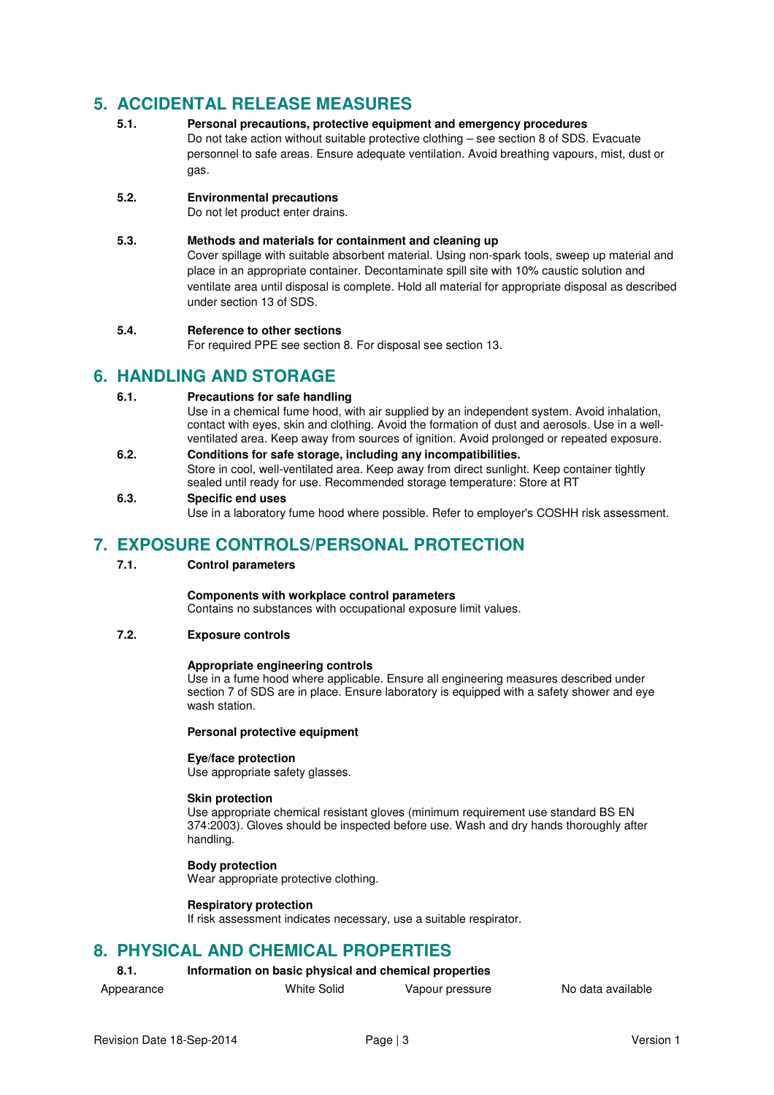# **5. ACCIDENTAL RELEASE MEASURES**

**5.1. Personal precautions, protective equipment and emergency procedures**  Do not take action without suitable protective clothing – see section 8 of SDS. Evacuate personnel to safe areas. Ensure adequate ventilation. Avoid breathing vapours, mist, dust or gas.

# **5.2. Environmental precautions**

Do not let product enter drains.

## **5.3. Methods and materials for containment and cleaning up**

Cover spillage with suitable absorbent material. Using non-spark tools, sweep up material and place in an appropriate container. Decontaminate spill site with 10% caustic solution and ventilate area until disposal is complete. Hold all material for appropriate disposal as described under section 13 of SDS.

### **5.4. Reference to other sections**

For required PPE see section 8. For disposal see section 13.

# **6. HANDLING AND STORAGE**

## **6.1. Precautions for safe handling**

Use in a chemical fume hood, with air supplied by an independent system. Avoid inhalation, contact with eyes, skin and clothing. Avoid the formation of dust and aerosols. Use in a wellventilated area. Keep away from sources of ignition. Avoid prolonged or repeated exposure.

**6.2. Conditions for safe storage, including any incompatibilities.**  Store in cool, well-ventilated area. Keep away from direct sunlight. Keep container tightly sealed until ready for use. Recommended storage temperature: Store at RT

### **6.3. Specific end uses**

Use in a laboratory fume hood where possible. Refer to employer's COSHH risk assessment.

# **7. EXPOSURE CONTROLS/PERSONAL PROTECTION**

### **7.1. Control parameters**

## **Components with workplace control parameters**

Contains no substances with occupational exposure limit values.

## **7.2. Exposure controls**

### **Appropriate engineering controls**

Use in a fume hood where applicable. Ensure all engineering measures described under section 7 of SDS are in place. Ensure laboratory is equipped with a safety shower and eye wash station.

### **Personal protective equipment**

### **Eye/face protection**

Use appropriate safety glasses.

### **Skin protection**

Use appropriate chemical resistant gloves (minimum requirement use standard BS EN 374:2003). Gloves should be inspected before use. Wash and dry hands thoroughly after handling.

# **Body protection**

Wear appropriate protective clothing.

### **Respiratory protection**

If risk assessment indicates necessary, use a suitable respirator.

# **8. PHYSICAL AND CHEMICAL PROPERTIES**

# **8.1. Information on basic physical and chemical properties**

- 
- Appearance **White Solid** Vapour pressure No data available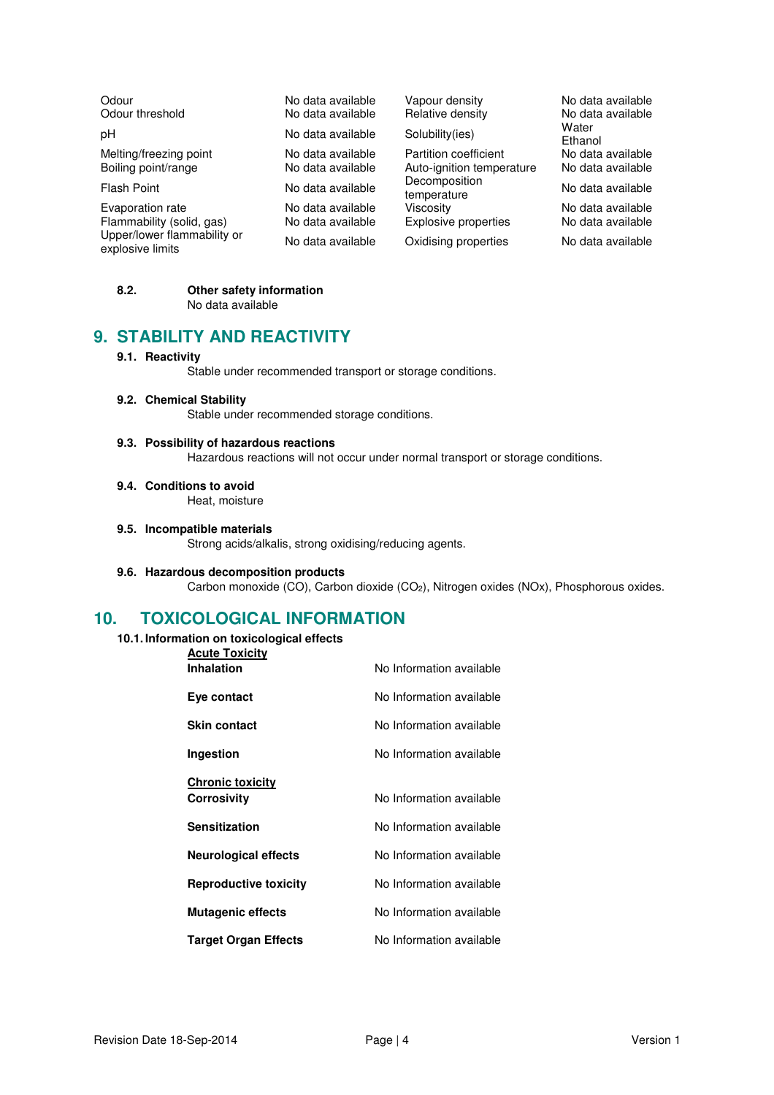| Odour<br>Odour threshold                        | No data available<br>No data available | Vapour density<br>Relative density                 | No data available<br>No data available |
|-------------------------------------------------|----------------------------------------|----------------------------------------------------|----------------------------------------|
| рH                                              | No data available                      | Solubility(ies)                                    | Water<br>Ethanol                       |
| Melting/freezing point<br>Boiling point/range   | No data available<br>No data available | Partition coefficient<br>Auto-ignition temperature | No data available<br>No data available |
| Flash Point                                     | No data available                      | Decomposition<br>temperature                       | No data available                      |
| Evaporation rate                                | No data available                      | Viscosity                                          | No data available                      |
| Flammability (solid, gas)                       | No data available                      | Explosive properties                               | No data available                      |
| Upper/lower flammability or<br>explosive limits | No data available                      | Oxidising properties                               | No data available                      |

### **8.2. Other safety information**  No data available

# **9. STABILITY AND REACTIVITY**

## **9.1. Reactivity**

Stable under recommended transport or storage conditions.

### **9.2. Chemical Stability**

Stable under recommended storage conditions.

## **9.3. Possibility of hazardous reactions**

Hazardous reactions will not occur under normal transport or storage conditions.

### **9.4. Conditions to avoid**

Heat, moisture

### **9.5. Incompatible materials**

Strong acids/alkalis, strong oxidising/reducing agents.

### **9.6. Hazardous decomposition products**

Carbon monoxide (CO), Carbon dioxide (CO2), Nitrogen oxides (NOx), Phosphorous oxides.

# **10. TOXICOLOGICAL INFORMATION**

### **10.1. Information on toxicological effects**

| <b>Acute Toxicity</b>                  |                          |
|----------------------------------------|--------------------------|
| <b>Inhalation</b>                      | No Information available |
| Eye contact                            | No Information available |
| <b>Skin contact</b>                    | No Information available |
| Ingestion                              | No Information available |
|                                        |                          |
| <b>Chronic toxicity</b><br>Corrosivity | No Information available |
| <b>Sensitization</b>                   | No Information available |
| <b>Neurological effects</b>            | No Information available |
| <b>Reproductive toxicity</b>           | No Information available |
| <b>Mutagenic effects</b>               | No Information available |
| <b>Target Organ Effects</b>            | No Information available |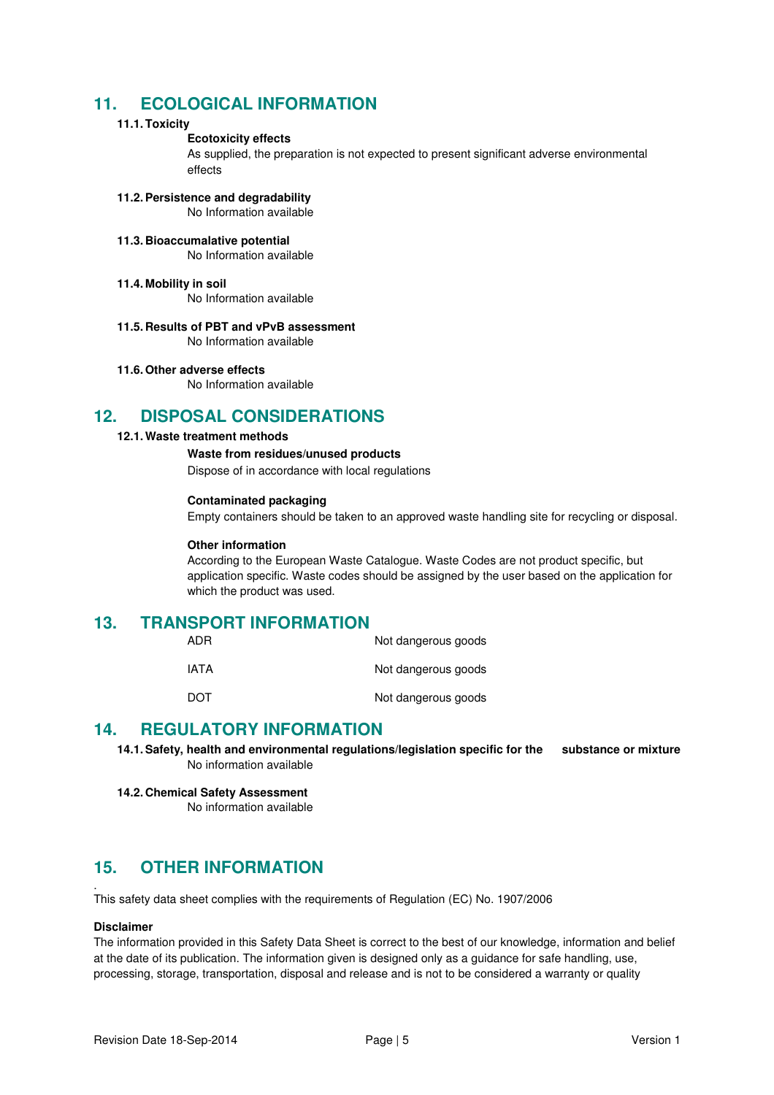# **11. ECOLOGICAL INFORMATION**

# **11.1. Toxicity**

# **Ecotoxicity effects**

As supplied, the preparation is not expected to present significant adverse environmental effects

- **11.2. Persistence and degradability**  No Information available
- **11.3. Bioaccumalative potential**  No Information available
- **11.4. Mobility in soil**

No Information available

- **11.5. Results of PBT and vPvB assessment**  No Information available
- **11.6. Other adverse effects**

No Information available

# **12. DISPOSAL CONSIDERATIONS**

# **12.1. Waste treatment methods**

 **Waste from residues/unused products** 

Dispose of in accordance with local regulations

## **Contaminated packaging**

Empty containers should be taken to an approved waste handling site for recycling or disposal.

### **Other information**

According to the European Waste Catalogue. Waste Codes are not product specific, but application specific. Waste codes should be assigned by the user based on the application for which the product was used.

# **13. TRANSPORT INFORMATION**

| ADR  | Not dangerous goods |
|------|---------------------|
| IATA | Not dangerous goods |
| DOT  | Not dangerous goods |

# **14. REGULATORY INFORMATION**

**14.1. Safety, health and environmental regulations/legislation specific for the substance or mixture**  No information available

**14.2. Chemical Safety Assessment** 

No information available

# **15. OTHER INFORMATION**

. This safety data sheet complies with the requirements of Regulation (EC) No. 1907/2006

### **Disclaimer**

The information provided in this Safety Data Sheet is correct to the best of our knowledge, information and belief at the date of its publication. The information given is designed only as a guidance for safe handling, use, processing, storage, transportation, disposal and release and is not to be considered a warranty or quality